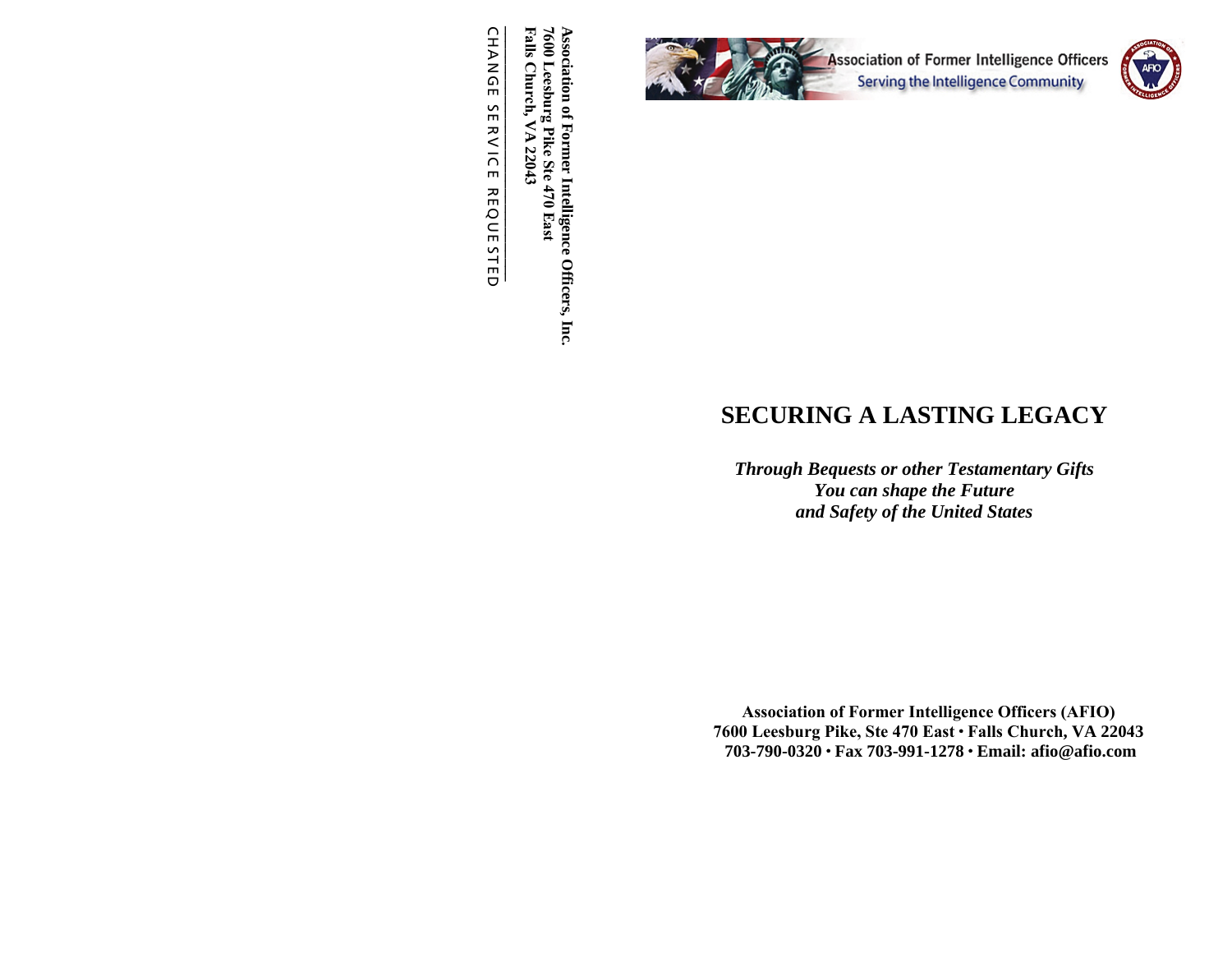

7600 Leesburg 1<br>Falls Church, V **\_\_\_\_\_\_\_\_\_\_\_\_\_\_\_\_\_\_\_\_\_\_\_\_\_\_\_\_\_\_\_\_\_ Falls Church, VA 22043 Intelligence Officers, Inc. 7600 Leesburg Pike Ste 470 East Association of Former Intelligence Officers, Inc. Association of Former** Pike Ste 470 East  $\blacktriangleright$  $22043$ 

CHANGE SE  $\leq$ IC E REQUE STED

# **SECURING A LASTING LEGACY**

*Through Bequests or other Testamentary Gifts You can shape the Future and Safety of the United States* 

**Association of Former Intelligence Officers (AFIO) 7600 Leesburg Pike, Ste 470 East Falls Church, VA 2204<sup>3</sup>703-790-0320 Fax 703-991-1278 Email: afio@afio.com**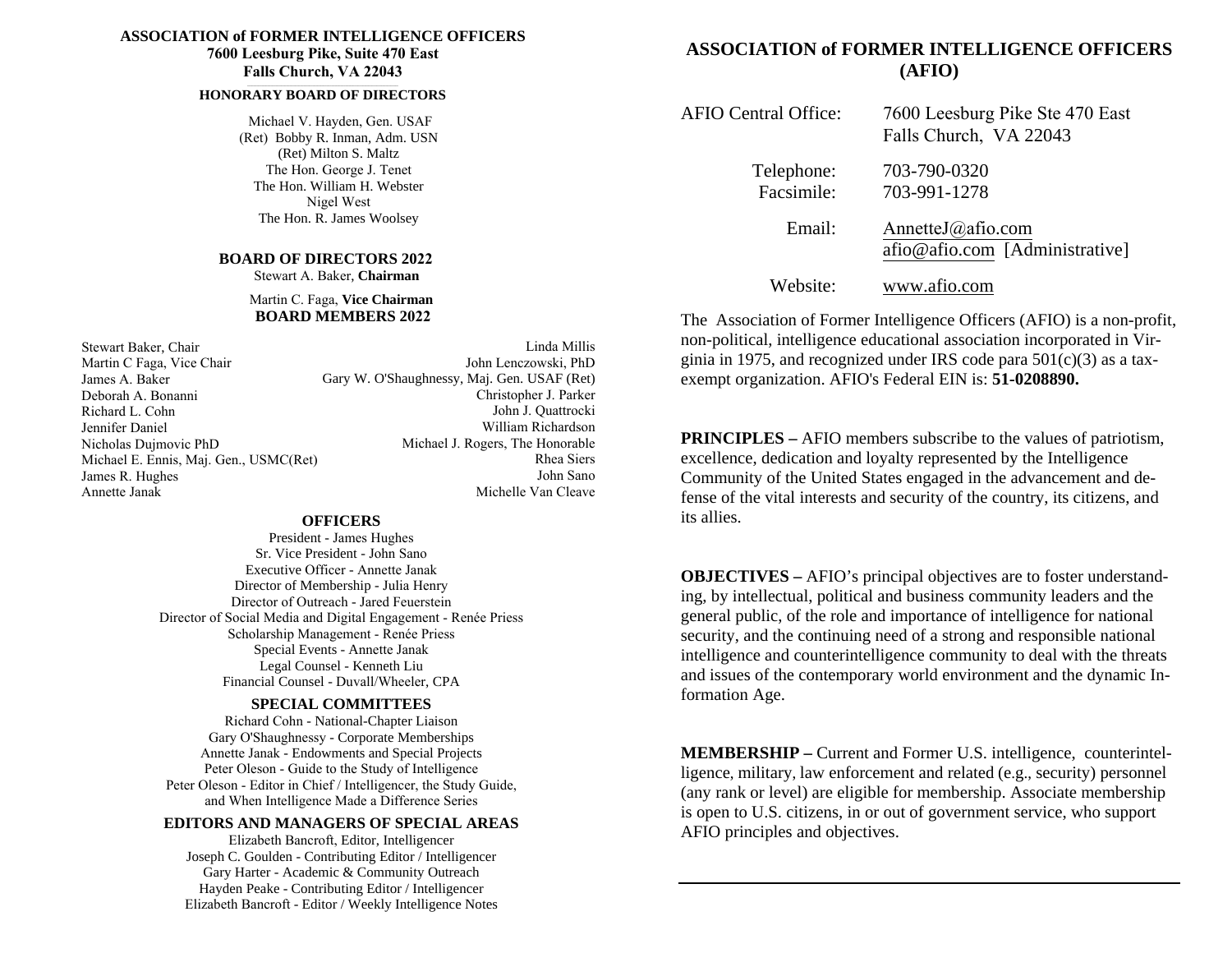#### **ASSOCIATION of FORMER INTELLIGENCE OFFICERS 7600 Leesburg Pike, Suite 470 East**

**Falls Church, VA 22043**

#### **\_\_\_\_\_\_\_\_\_\_\_\_\_\_\_\_\_\_\_\_\_\_\_\_\_\_\_\_\_\_\_\_\_\_\_\_\_\_\_\_\_\_\_\_\_\_\_\_\_\_\_\_\_\_\_\_\_\_\_\_\_\_\_\_\_\_\_\_\_\_\_\_\_\_\_\_\_\_\_\_\_\_\_\_\_\_\_\_\_\_\_\_\_\_\_\_\_ HONORARY BOARD OF DIRECTORS**

Michael V. Hayden, Gen. USAF (Ret) Bobby R. Inman, Adm. USN (Ret) Milton S. Maltz The Hon. George J. TenetThe Hon. William H. Webster Nigel WestThe Hon. R. James Woolsey

# **BOARD OF DIRECTORS <sup>20</sup><sup>22</sup>**

Stewart A. Baker, **Chairman**

#### Martin C. Faga, **Vice ChairmanBOARD MEMBERS 2022**

Stewart Baker, Chair Martin C Faga, Vice ChairJames A. Baker Deborah A. BonanniRichard L. Cohn Jennifer Daniel Nicholas Dujmovic PhD Michael E. Ennis, Maj. Gen., USMC(Ret)James R. HughesAnnette Janak

Linda Millis John Lenczowski, PhD Gary W. O'Shaughnessy, Maj. Gen. USAF (Ret) Christopher J. Parker John J. Quattrocki William Richardson Michael J. Rogers, The Honorable Rhea Siers John SanoMichelle Van Cleave

#### **OFFICERS**

 President - James Hughes Sr. Vice President - John Sano Executive Officer - Annette Janak Director of Membership - Julia Henry Director of Outreach - Jared Feuerstein Director of Social Media and Digital Engagement - Renée PriessScholarship Management - Renée PriessSpecial Events -Annette Janak Legal Counsel - Kenneth Liu Financial Counsel - Duvall/Wheeler, CPA

#### **SPECIAL COMMITTEES**

 Richard Cohn - National-Chapter Liaison Gary O'Shaughnessy - Corporate Memberships Annette Janak - Endowments and Special Projects Peter Oleson - Guide to the Study of Intelligence Peter Oleson - Editor in Chief / Intelligencer, the Study Guide, and When Intelligence Made a Difference Series

### **EDITORS AND MANAGERS OF SPECIAL AREAS**

Elizabeth Bancroft, Editor, Intelligencer Joseph C. Goulden - Contributing Editor / Intelligencer Gary Harter - Academic & Community Outreach Hayden Peake - Contributing Editor / Intelligencer Elizabeth Bancroft - Editor / Weekly Intelligence Notes

### **ASSOCIATION of FORMER INTELLIGENCE OFFICERS (AFIO)**

| <b>AFIO Central Office:</b> | 7600 Leesburg Pike Ste 470 East<br>Falls Church, VA 22043 |
|-----------------------------|-----------------------------------------------------------|
| Telephone:<br>Facsimile:    | 703-790-0320<br>703-991-1278                              |
| Email:                      | AnnetteJ@afio.com<br>afio@afio.com [Administrative]       |
| Website:                    | www.afio.com                                              |

The Association of Former Intelligence Officers (AFIO) is a non-profit, non-political, intelligence educational association incorporated in Virginia in 1975, and recognized under IRS code para 501(c)(3) as a taxexempt organization. AFIO's Federal EIN is: **51-0208890.**

**PRINCIPLES –** AFIO members subscribe to the values of patriotism, excellence, dedication and loyalty represented by the Intelligence Community of the United States engaged in the advancement and defense of the vital interests and security of the country, its citizens, and its allies.

**OBJECTIVES –** AFIO's principal objectives are to foster understanding, by intellectual, political and business community leaders and the general public, of the role and importance of intelligence for national security, and the continuing need of a strong and responsible national intelligence and counterintelligence community to deal with the threats and issues of the contemporary world environment and the dynamic Information Age.

**MEMBERSHIP –** Current and Former U.S. intelligence, counterintelligence, military, law enforcement and related (e.g., security) personnel (any rank or level) are eligible for membership. Associate membership is open to U.S. citizens, in or out of government service, who support AFIO principles and objectives.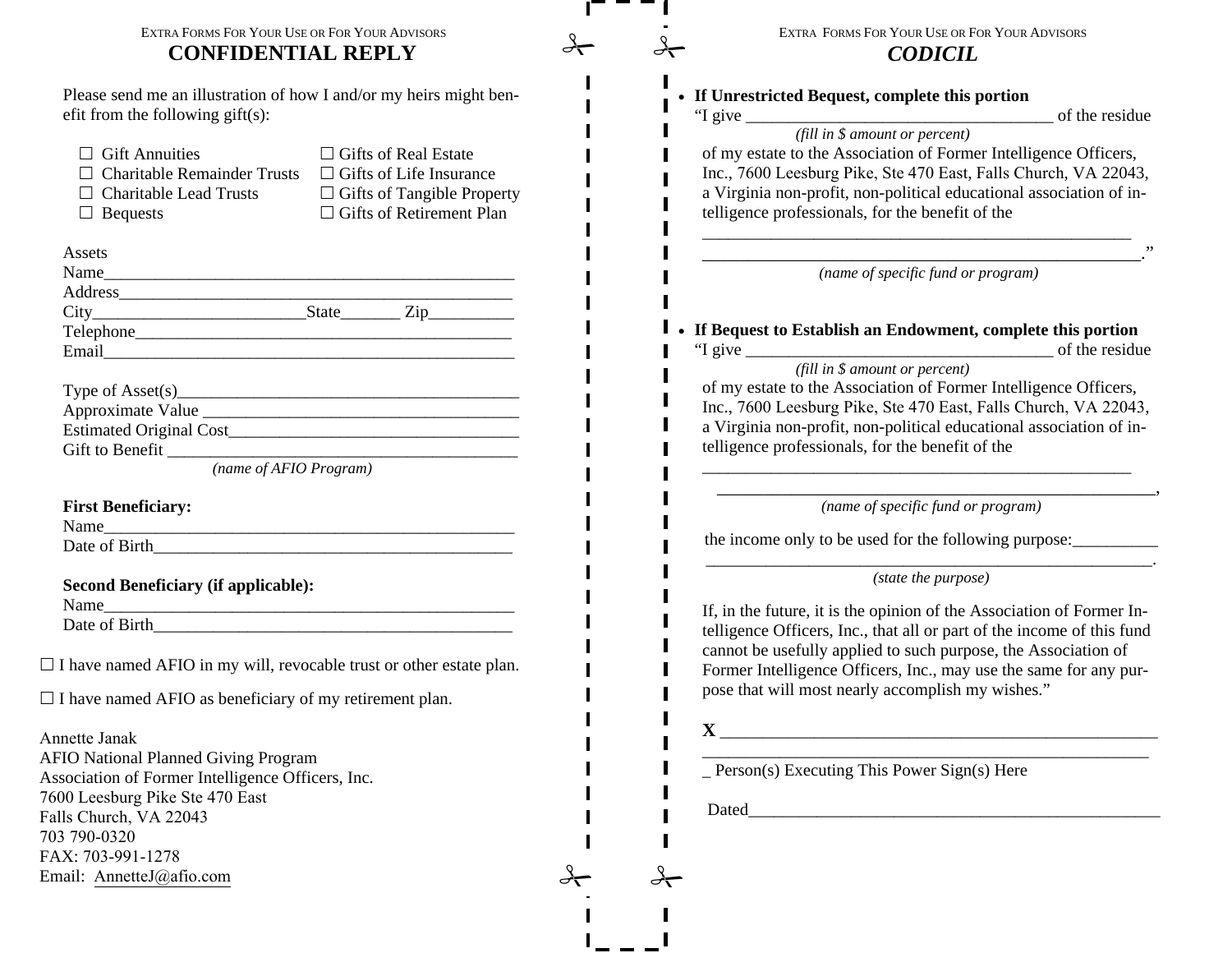#### EXTRA FORMS FOR YOUR USE OR FOR YOUR ADVISORS **CONFIDENTIAL REPLY**

Please send me an illustration of how I and/or my heirs might benefit from the following gift(s):

| $\sqcap$ Gift Annuities<br>$\Box$ Charitable Remainder Trusts<br>$\sqcap$ Charitable Lead Trusts<br><b>Bequests</b> | $\exists$ Gifts of Real Estate<br>$\Box$ Gifts of Life Insurance<br>$\Box$ Gifts of Tangible Property<br>$\Box$ Gifts of Retirement Plan |  |  |
|---------------------------------------------------------------------------------------------------------------------|------------------------------------------------------------------------------------------------------------------------------------------|--|--|
| Assets                                                                                                              |                                                                                                                                          |  |  |
| Name                                                                                                                |                                                                                                                                          |  |  |
|                                                                                                                     |                                                                                                                                          |  |  |
|                                                                                                                     |                                                                                                                                          |  |  |
|                                                                                                                     |                                                                                                                                          |  |  |
|                                                                                                                     |                                                                                                                                          |  |  |
| (name of AFIO Program)                                                                                              |                                                                                                                                          |  |  |
| <b>First Beneficiary:</b><br>Name                                                                                   |                                                                                                                                          |  |  |
|                                                                                                                     |                                                                                                                                          |  |  |
| <b>Second Beneficiary (if applicable):</b><br>Name                                                                  |                                                                                                                                          |  |  |
|                                                                                                                     |                                                                                                                                          |  |  |

 $\Box$  I have named AFIO in my will, revocable trust or other estate plan.

 $\Box$  I have named AFIO as beneficiary of my retirement plan.

Annette Janak

 AFIO National Planned Giving Program Association of Former Intelligence Officers, Inc. 7600 Leesburg Pike Ste 470 EastFalls Church, VA 22043703 790-0320 FAX: 703-991-1278Email: AnnetteJ@afio.com

| EXTRA FORMS FOR YOUR USE OR FOR YOUR ADVISORS |
|-----------------------------------------------|
| <b>CODICIL</b>                                |

| If Unrestricted Bequest, complete this portion                         |
|------------------------------------------------------------------------|
| "I give<br>of the residue<br>(fill in \$ amount or percent)            |
| of my estate to the Association of Former Intelligence Officers,       |
| Inc., 7600 Leesburg Pike, Ste 470 East, Falls Church, VA 22043,        |
| a Virginia non-profit, non-political educational association of in-    |
| telligence professionals, for the benefit of the                       |
|                                                                        |
| (name of specific fund or program)                                     |
| If Bequest to Establish an Endowment, complete this portion            |
| of the residue<br>"I give $\frac{ }{ }$                                |
| (fill in \$ amount or percent)                                         |
| of my estate to the Association of Former Intelligence Officers,       |
| Inc., 7600 Leesburg Pike, Ste 470 East, Falls Church, VA 22043,        |
| a Virginia non-profit, non-political educational association of in-    |
| telligence professionals, for the benefit of the                       |
| (name of specific fund or program)                                     |
| the income only to be used for the following purpose:                  |
| (state the purpose)                                                    |
| If, in the future, it is the opinion of the Association of Former In-  |
| telligence Officers, Inc., that all or part of the income of this fund |
| cannot be usefully applied to such purpose, the Association of         |
| Former Intelligence Officers, Inc., may use the same for any pur-      |
| pose that will most nearly accomplish my wishes."                      |
| $\mathbf x$                                                            |
| $Person(s)$ Executing This Power Sign(s) Here                          |
|                                                                        |

 $\mathbf{L}$ 

Г

 $\mathbf{I}$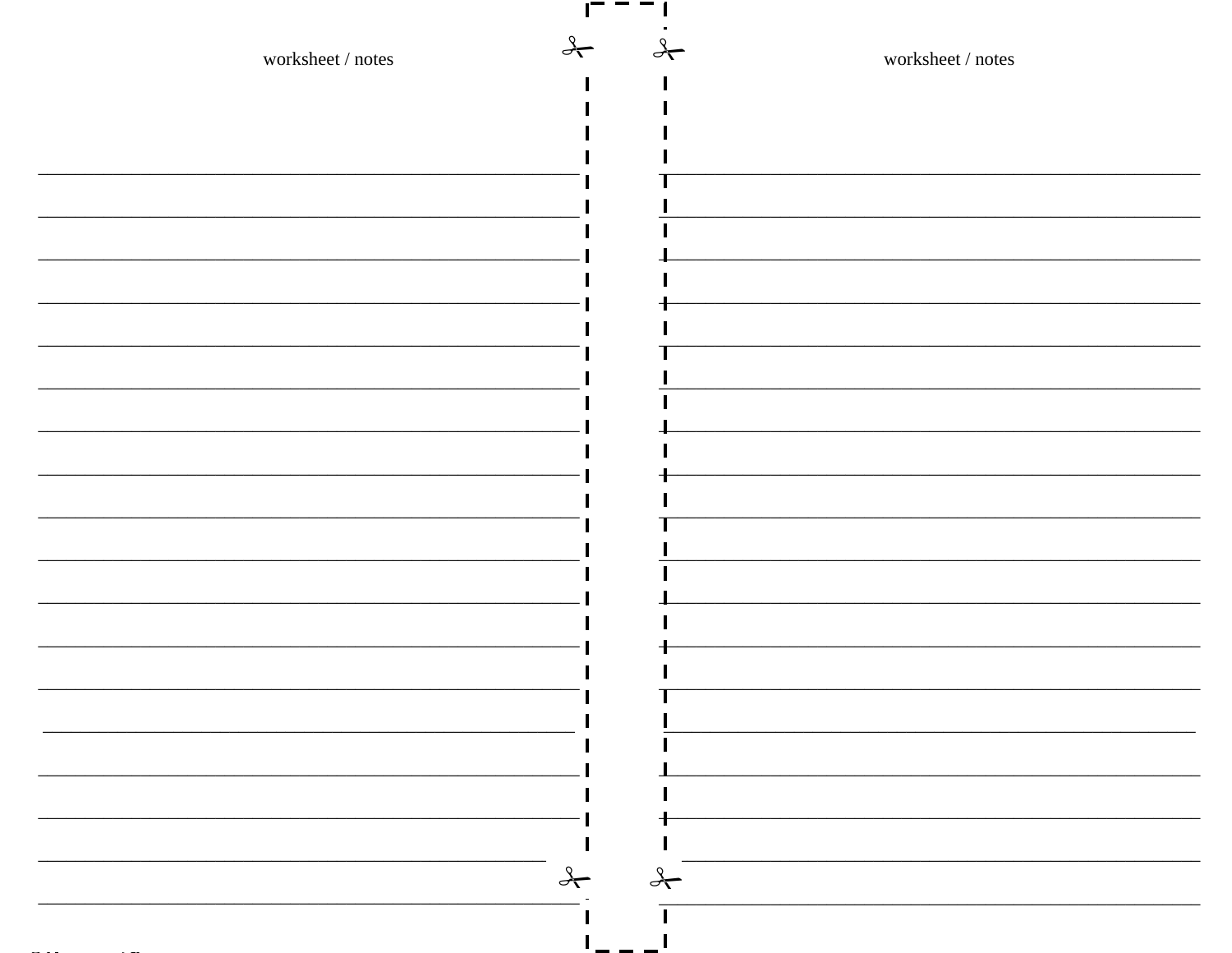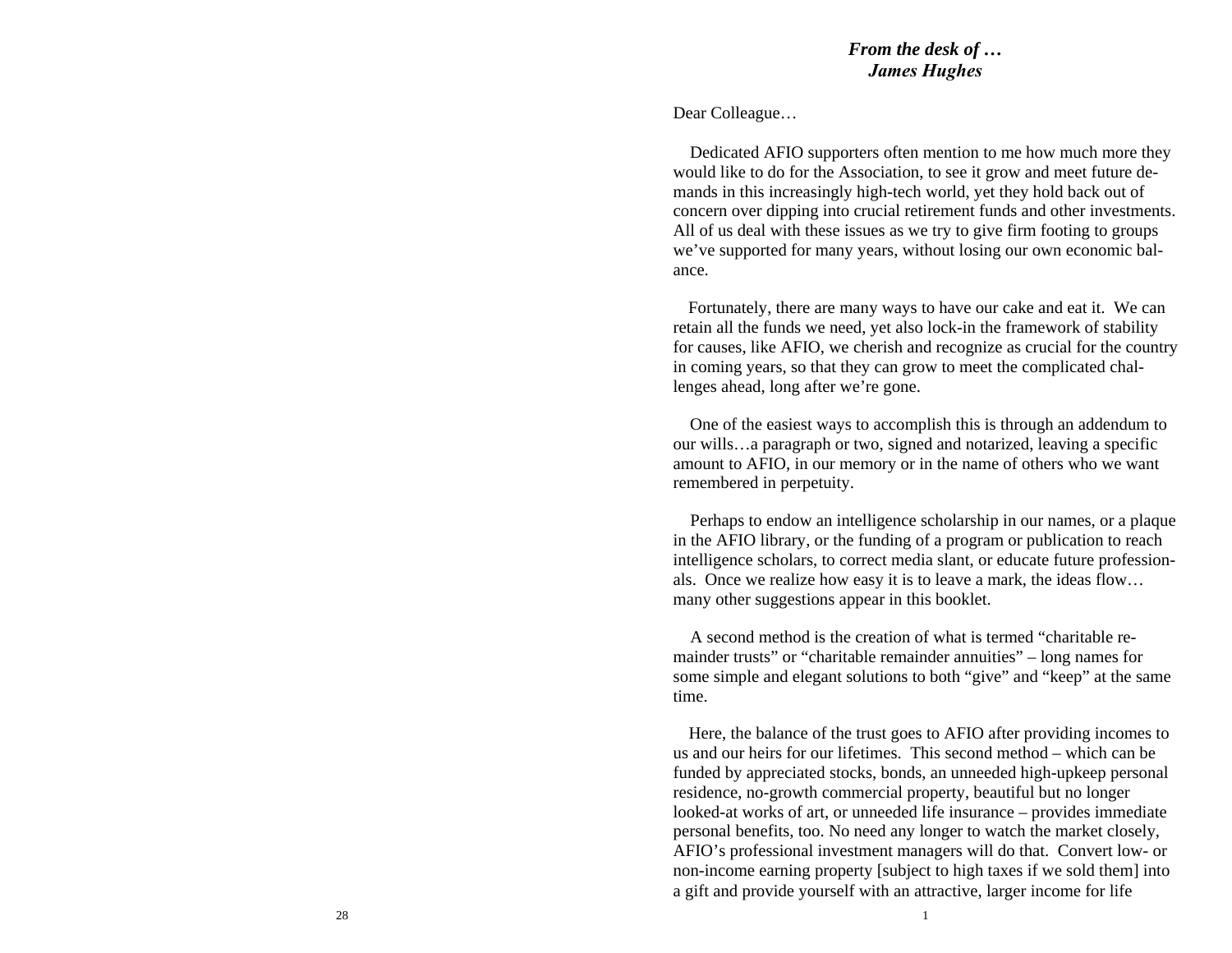#### *From the desk of … James Hughes*

Dear Colleague…

Dedicated AFIO supporters often mention to me how much more theywould like to do for the Association, to see it grow and meet future demands in this increasingly high-tech world, yet they hold back out of concern over dipping into crucial retirement funds and other investments. All of us deal with these issues as we try to give firm footing to groups<br>using supported for many vegre, without loging our guy accommic halwe've supported for many years, without losing our own economic balance.

Fortunately, there are many ways to have our cake and eat it. We can retain all the funds we need, yet also lock-in the framework of stability for causes, like AFIO, we cherish and recognize as crucial for the countryin coming years, so that they can grow to meet the complicated challenges ahead, long after we're gone.

One of the easiest ways to accomplish this is through an addendum to our wills…a paragraph or two, signed and notarized, leaving a specific amount to AFIO, in our memory or in the name of others who we want remembered in perpetuity.

Perhaps to endow an intelligence scholarship in our names, or a plaque in the AFIO library, or the funding of a program or publication to reach intelligence subglass. intelligence scholars, to correct media slant, or educate future professionals. Once we realize how easy it is to leave a mark, the ideas flow… many other suggestions appear in this booklet.

A second method is the creation of what is termed "charitable remainder trusts" or "charitable remainder annuities" – long names for some simple and elegant solutions to both "give" and "keep" at the same time.

Here, the balance of the trust goes to AFIO after providing incomes to us and our heirs for our lifetimes. This second method – which can be funded by appreciated stocks, bonds, an unneeded high-upkeep personal residence, no-growth commercial property, beautiful but no longer looked-at works of art, or unneeded life insurance – provides immediate personal benefits, too. No need any longer to watch the market closely, AFIO's professional investment managers will do that. Convert low- or non-income earning property [subject to high taxes if we sold them] intoa gift and provide yourself with an attractive, larger income for life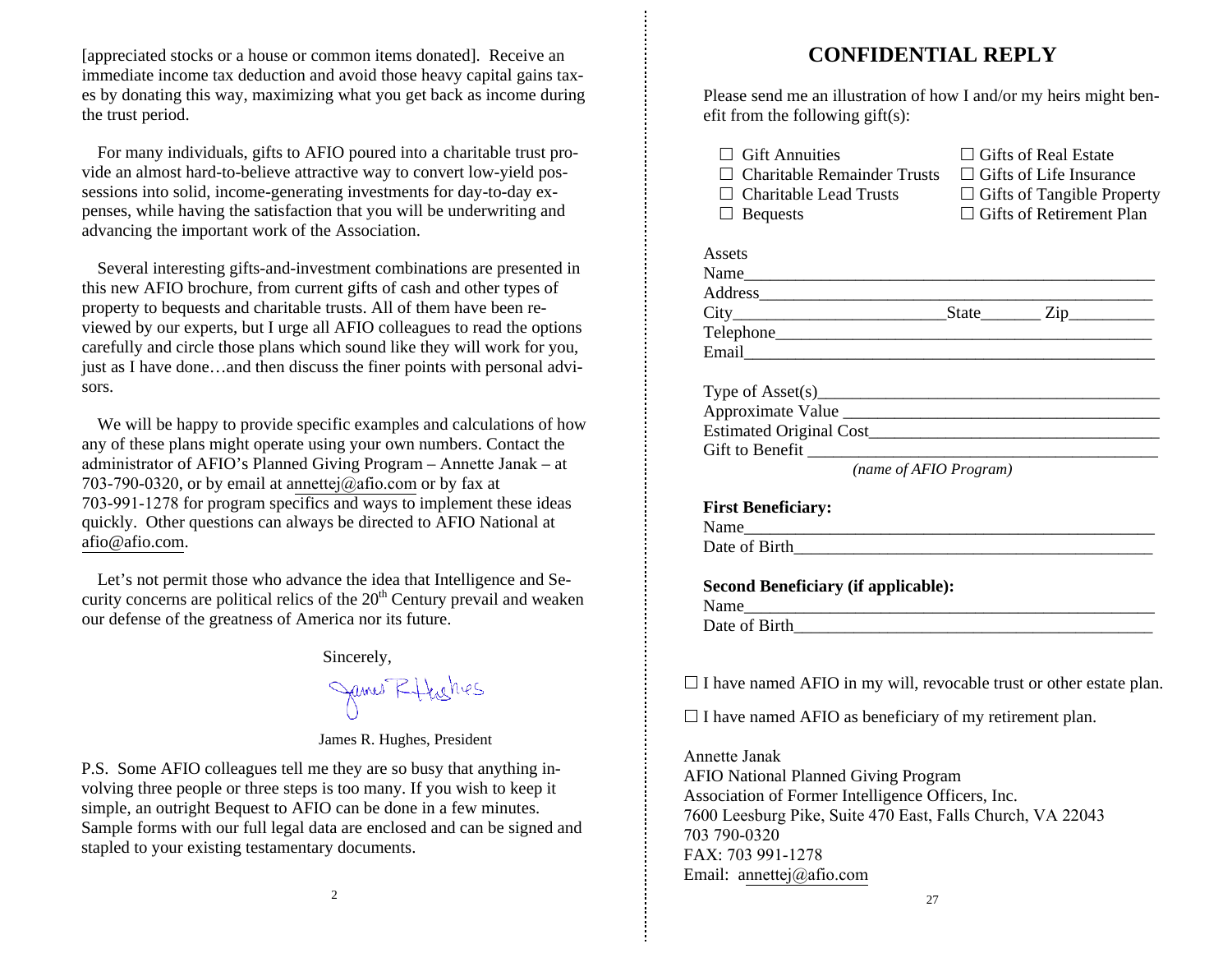[appreciated stocks or a house or common items donated]. Receive an immediate income tax deduction and avoid those heavy capital gains taxes by donating this way, maximizing what you get back as income during the trust period.

For many individuals, gifts to AFIO poured into a charitable trust provide an almost hard-to-believe attractive way to convert low-yield possessions into solid, income-generating investments for day-to-day expenses, while having the satisfaction that you will be underwriting and advancing the important work of the Association.

Several interesting gifts-and-investment combinations are presented inthis new AFIO brochure, from current gifts of cash and other types of<br>nuclear to be<br>current and charitable twist. All of them have been reproperty to bequests and charitable trusts. All of them have been reviewed by our experts, but I urge all AFIO colleagues to read the options carefully and circle those plans which sound like they will work for you, just as I have done…and then discuss the finer points with personal advisors.

We will be happy to provide specific examples and calculations of how any of these plans might operate using your own numbers. Contact the administrator of AFIO's Planned Giving Program – Annette Janak – at 2021 700.0220. an hy cancel detection of a 703-790-0320, or by email at annettej@afio.com or by fax at  $702,001,1278$  for area was an algebra and wave to involve entries 703-991-1278 for program specifics and ways to implement these ideas quickly. Other questions can always be directed to AFIO National at afio@afio.com.

Let's not permit those who advance the idea that Intelligence and Security concerns are political relics of the  $20<sup>th</sup>$  Century prevail and weaken our defense of the greatness of America nor its future.

Sincerely,

James Ethishes

James R. Hughes, President

P.S. Some AFIO colleagues tell me they are so busy that anything involving three people or three steps is too many. If you wish to keep it simple, an outright Bequest to AFIO can be done in a few minutes. Sample forms with our full legal data are enclosed and can be signed and stapled to your existing testamentary documents.

# **CONFIDENTIAL REPLY**

Please send me an illustration of how I and/or my heirs might benefit from the following gift(s):

| $\Box$ Gift Annuities                                                      | $\Box$ Gifts of Real Estate     |
|----------------------------------------------------------------------------|---------------------------------|
| $\Box$ Charitable Remainder Trusts $\Box$ Gifts of Life Insurance          |                                 |
| $\Box$ Charitable Lead Trusts $\Box$ Gifts of Tangible Property            |                                 |
| $\Box$ Bequests                                                            | $\Box$ Gifts of Retirement Plan |
|                                                                            |                                 |
| Assets                                                                     |                                 |
|                                                                            |                                 |
|                                                                            |                                 |
|                                                                            |                                 |
|                                                                            |                                 |
|                                                                            |                                 |
|                                                                            |                                 |
| Type of $\text{Asset}(s)$                                                  |                                 |
|                                                                            |                                 |
|                                                                            |                                 |
|                                                                            |                                 |
| (name of AFIO Program)                                                     |                                 |
|                                                                            |                                 |
| <b>First Beneficiary:</b>                                                  |                                 |
|                                                                            |                                 |
|                                                                            |                                 |
| <b>Second Beneficiary (if applicable):</b>                                 |                                 |
|                                                                            |                                 |
|                                                                            |                                 |
|                                                                            |                                 |
|                                                                            |                                 |
| $\Box$ I have named AFIO in my will, revocable trust or other estate plan. |                                 |
| $\Box$ I have named AFIO as beneficiary of my retirement plan.             |                                 |
| Annette Janak                                                              |                                 |

 AFIO National Planned Giving Program Association of Former Intelligence Officers, Inc. 7600 Leesburg Pike, Suite 470 East, Falls Church, VA 22043703 790-0320 FAX: 703 991-1278Email: annettej@afio.com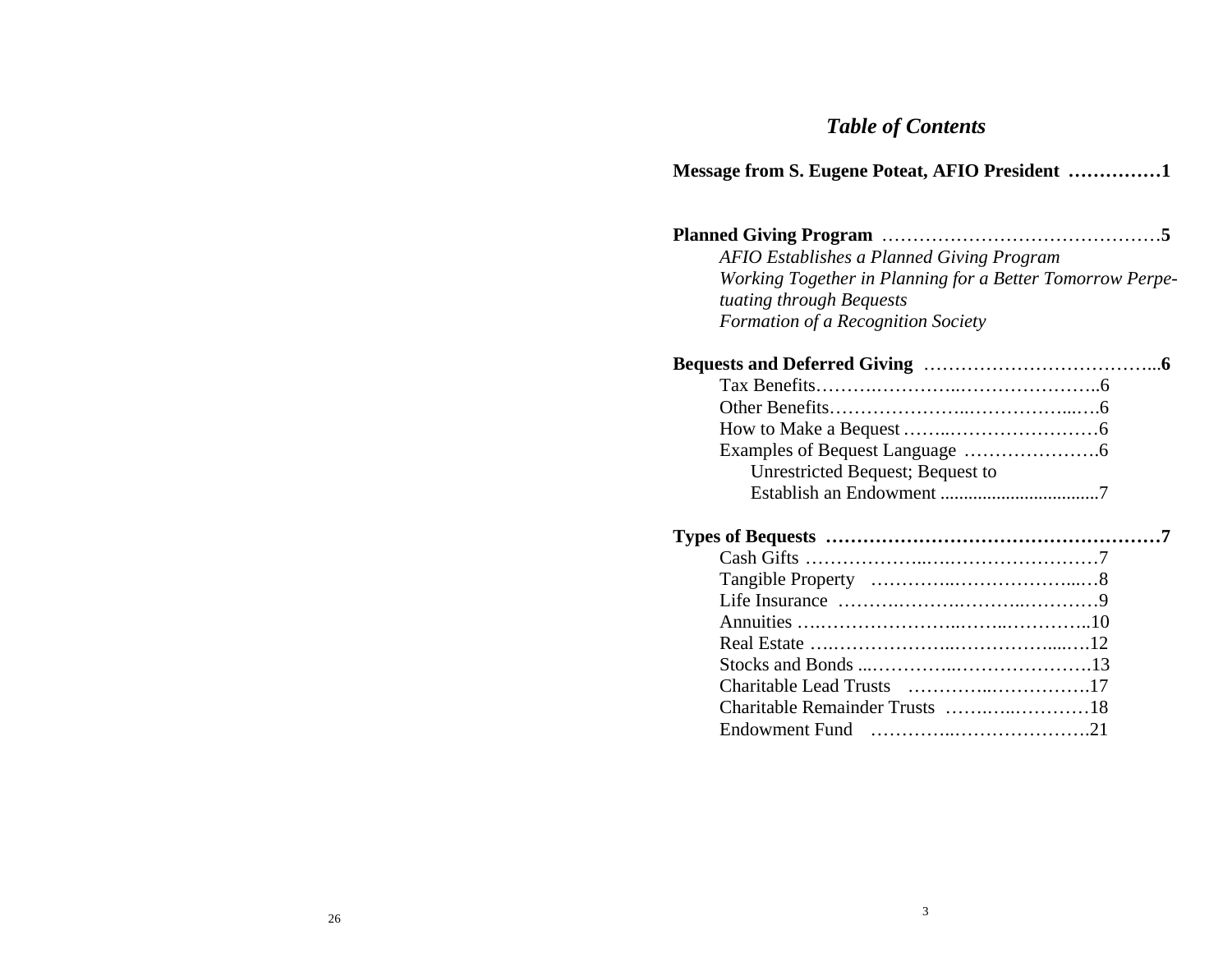# *Table of Contents*

**Message from S. Eugene Poteat, AFIO President ……………1**

| AFIO Establishes a Planned Giving Program                           |
|---------------------------------------------------------------------|
| Working Together in Planning for a Better Tomorrow Perpe-           |
| tuating through Bequests                                            |
| Formation of a Recognition Society                                  |
|                                                                     |
|                                                                     |
|                                                                     |
|                                                                     |
|                                                                     |
| Unrestricted Bequest; Bequest to                                    |
|                                                                     |
|                                                                     |
|                                                                     |
|                                                                     |
|                                                                     |
|                                                                     |
|                                                                     |
|                                                                     |
|                                                                     |
|                                                                     |
| Endowment Fund $\ldots, \ldots, \ldots, \ldots, \ldots, \ldots, 21$ |
|                                                                     |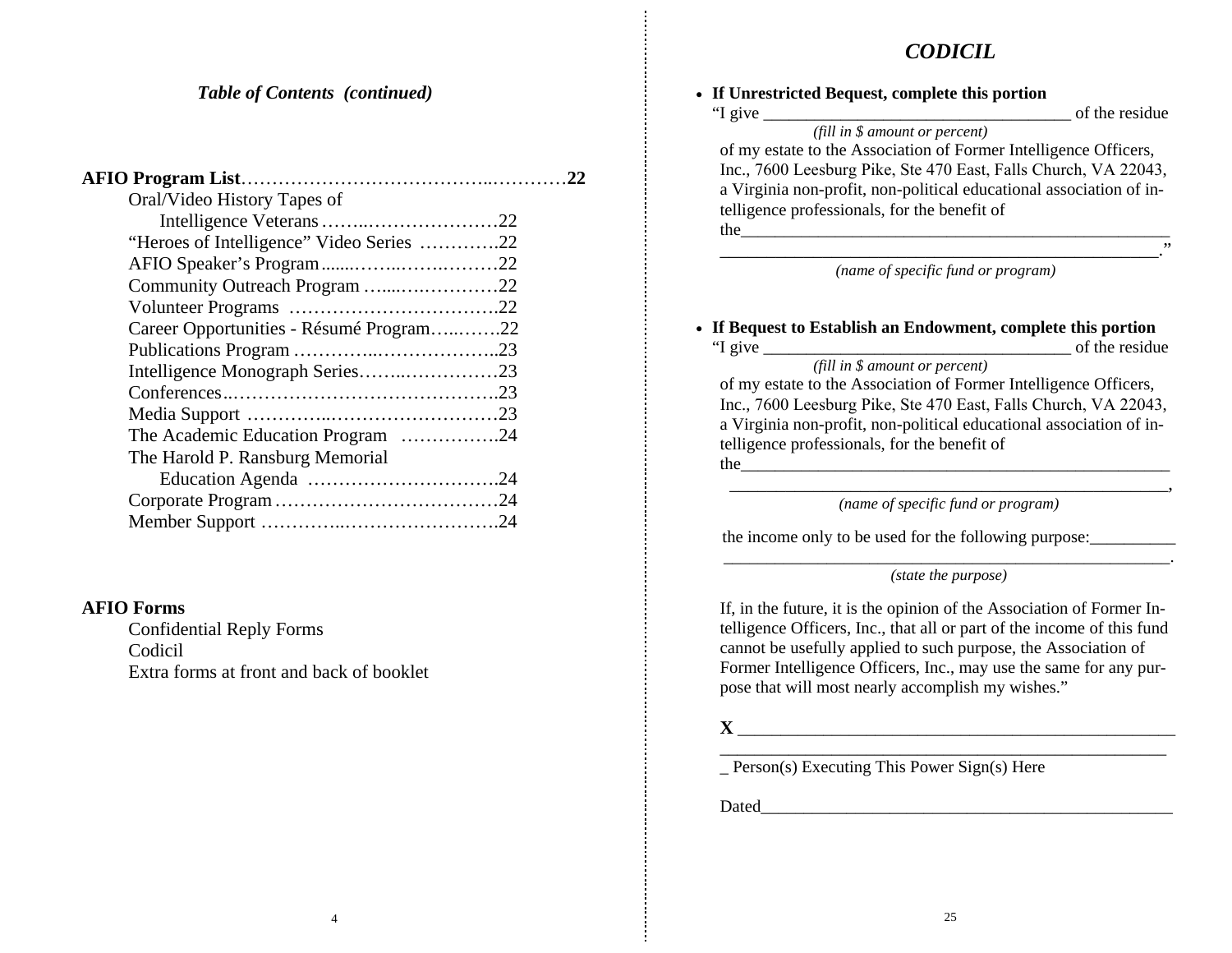### *CODICIL*

#### *Table of Contents (continued)*

| Oral/Video History Tapes of              |  |
|------------------------------------------|--|
|                                          |  |
| "Heroes of Intelligence" Video Series 22 |  |
|                                          |  |
| Community Outreach Program 22            |  |
|                                          |  |
| Career Opportunities - Résumé Program22  |  |
|                                          |  |
| Intelligence Monograph Series23          |  |
|                                          |  |
|                                          |  |
| The Academic Education Program 24        |  |
| The Harold P. Ransburg Memorial          |  |
|                                          |  |
|                                          |  |
|                                          |  |
|                                          |  |

#### **AFIO Forms**

Confidential Reply Forms Codicil Extra forms at front and back of booklet

4

| "I give                                                             | of the residue |
|---------------------------------------------------------------------|----------------|
| (fill in $$$ amount or percent)                                     |                |
| of my estate to the Association of Former Intelligence Officers,    |                |
| Inc., 7600 Leesburg Pike, Ste 470 East, Falls Church, VA 22043,     |                |
| a Virginia non-profit, non-political educational association of in- |                |
| telligence professionals, for the benefit of                        |                |
| the                                                                 |                |
|                                                                     | ,,             |

#### *(name of specific fund or program)*

#### **If Bequest to Establish an Endowment, complete this portion** "I give \_\_\_\_\_\_\_\_\_\_\_\_\_\_\_\_\_\_\_\_\_\_\_\_\_\_\_\_\_\_\_\_\_\_\_\_ of the residue

 *(fill in \$ amount or percent)* of my estate to the Association of Former Intelligence Officers, Inc., 7600 Leesburg Pike, Ste 470 East, Falls Church, VA 22043, a Virginia non-profit, non-political educational association of intelligence professionals, for the benefit of  $the$ 

 \_\_\_\_\_\_\_\_\_\_\_\_\_\_\_\_\_\_\_\_\_\_\_\_\_\_\_\_\_\_\_\_\_\_\_\_\_\_\_\_\_\_\_\_\_\_\_, *(name of specific fund or program)* 

the income only to be used for the following purpose:

 $\_$  , and the set of the set of the set of the set of the set of the set of the set of the set of the set of the set of the set of the set of the set of the set of the set of the set of the set of the set of the set of th *(state the purpose)* 

If, in the future, it is the opinion of the Association of Former Intelligence Officers, Inc., that all or part of the income of this fund cannot be usefully applied to such purpose, the Association of Former Intelligence Officers, Inc., may use the same for any purpose that will most nearly accomplish my wishes."

# **X**

\_\_\_\_\_\_\_\_\_\_\_\_\_\_\_\_\_\_\_\_\_\_\_\_\_\_\_\_\_\_\_\_\_\_\_\_\_\_\_\_\_\_\_\_\_\_\_\_\_\_\_ \_\_\_\_\_\_\_\_\_\_\_\_\_\_\_\_\_\_\_\_\_\_\_\_\_\_\_\_\_\_\_\_\_\_\_\_\_\_\_\_\_\_\_\_\_\_\_\_\_\_\_\_ \_ Person(s) Executing This Power Sign(s) Here

Dated  $\Box$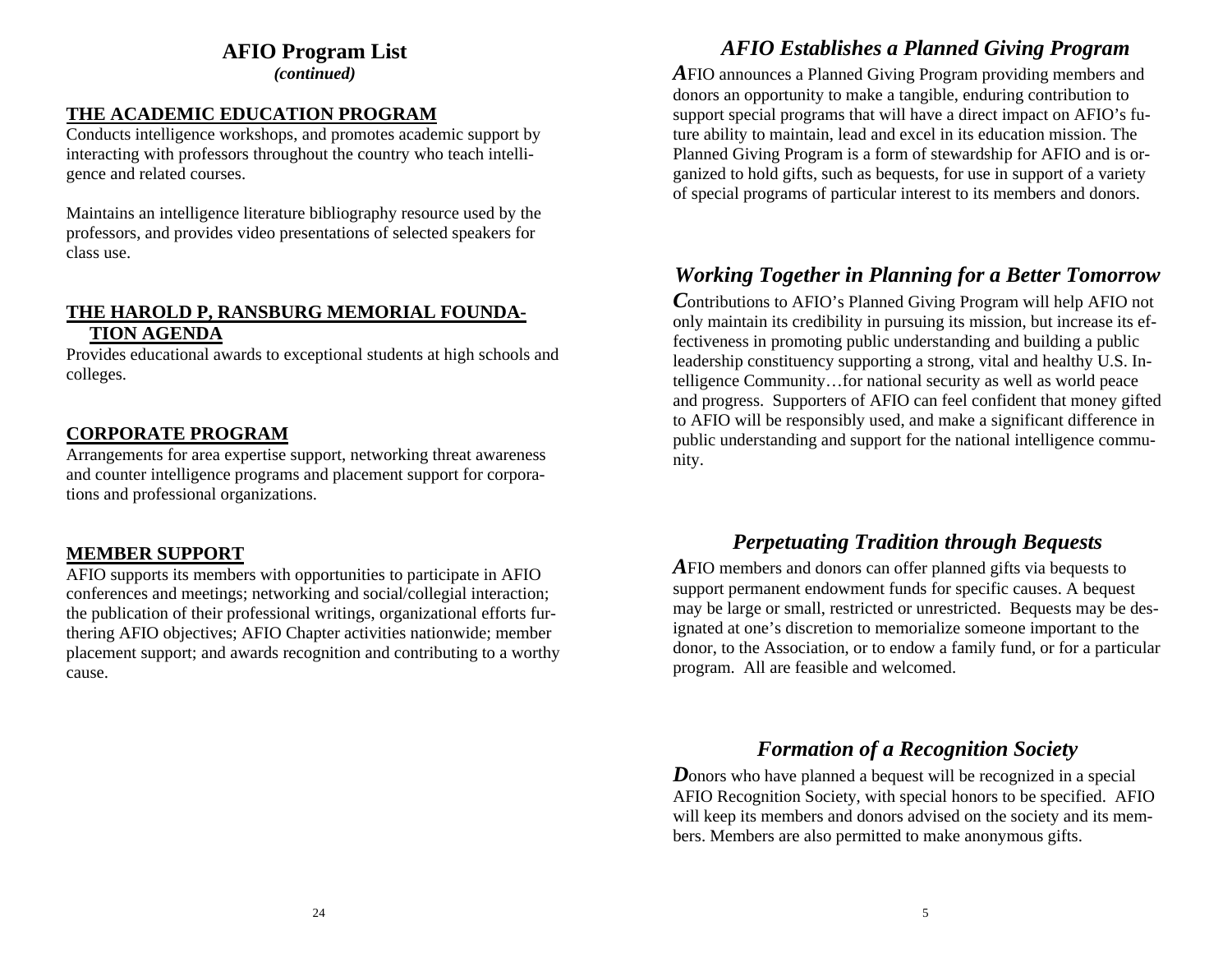### **AFIO Program List**

*(continued)* 

### **THE ACADEMIC EDUCATION PROGRAM**

Conducts intelligence workshops, and promotes academic support by interacting with professors throughout the country who teach intelligence and related courses.

Maintains an intelligence literature bibliography resource used by the professors, and provides video presentations of selected speakers for class use.

### **THE HAROLD P, RANSBURG MEMORIAL FOUNDA-TION AGENDA**

Provides educational awards to exceptional students at high schools and colleges.

### **CORPORATE PROGRAM**

Arrangements for area expertise support, networking threat awareness and counter intelligence programs and placement support for corporations and professional organizations.

### **MEMBER SUPPORT**

AFIO supports its members with opportunities to participate in AFIO conferences and meetings; networking and social/collegial interaction; the publication of their professional writings, organizational efforts furthering AFIO objectives; AFIO Chapter activities nationwide; member placement support; and awards recognition and contributing to a worthy cause.

# *AFIO Establishes a Planned Giving Program*

*A*FIO announces a Planned Giving Program providing members and donors an opportunity to make a tangible, enduring contribution to support special programs that will have a direct impact on AFIO's future ability to maintain, lead and excel in its education mission. The Planned Giving Program is a form of stewardship for AFIO and is organized to hold gifts, such as bequests, for use in support of a variety of special programs of particular interest to its members and donors.

# *Working Together in Planning for a Better Tomorrow*

*C*ontributions to AFIO's Planned Giving Program will help AFIO not only maintain its credibility in pursuing its mission, but increase its effectiveness in promoting public understanding and building a public leadership constituency supporting a strong, vital and healthy U.S. Intelligence Community…for national security as well as world peace and progress. Supporters of AFIO can feel confident that money gifted to AFIO will be responsibly used, and make a significant difference in public understanding and support for the national intelligence community.

# *Perpetuating Tradition through Bequests*

*A*FIO members and donors can offer planned gifts via bequests to support permanent endowment funds for specific causes. A bequest may be large or small, restricted or unrestricted. Bequests may be designated at one's discretion to memorialize someone important to the donor, to the Association, or to endow a family fund, or for a particular program. All are feasible and welcomed.

### *Formation of a Recognition Society*

*D*onors who have planned a bequest will be recognized in a special AFIO Recognition Society, with special honors to be specified. AFIO will keep its members and donors advised on the society and its members. Members are also permitted to make anonymous gifts.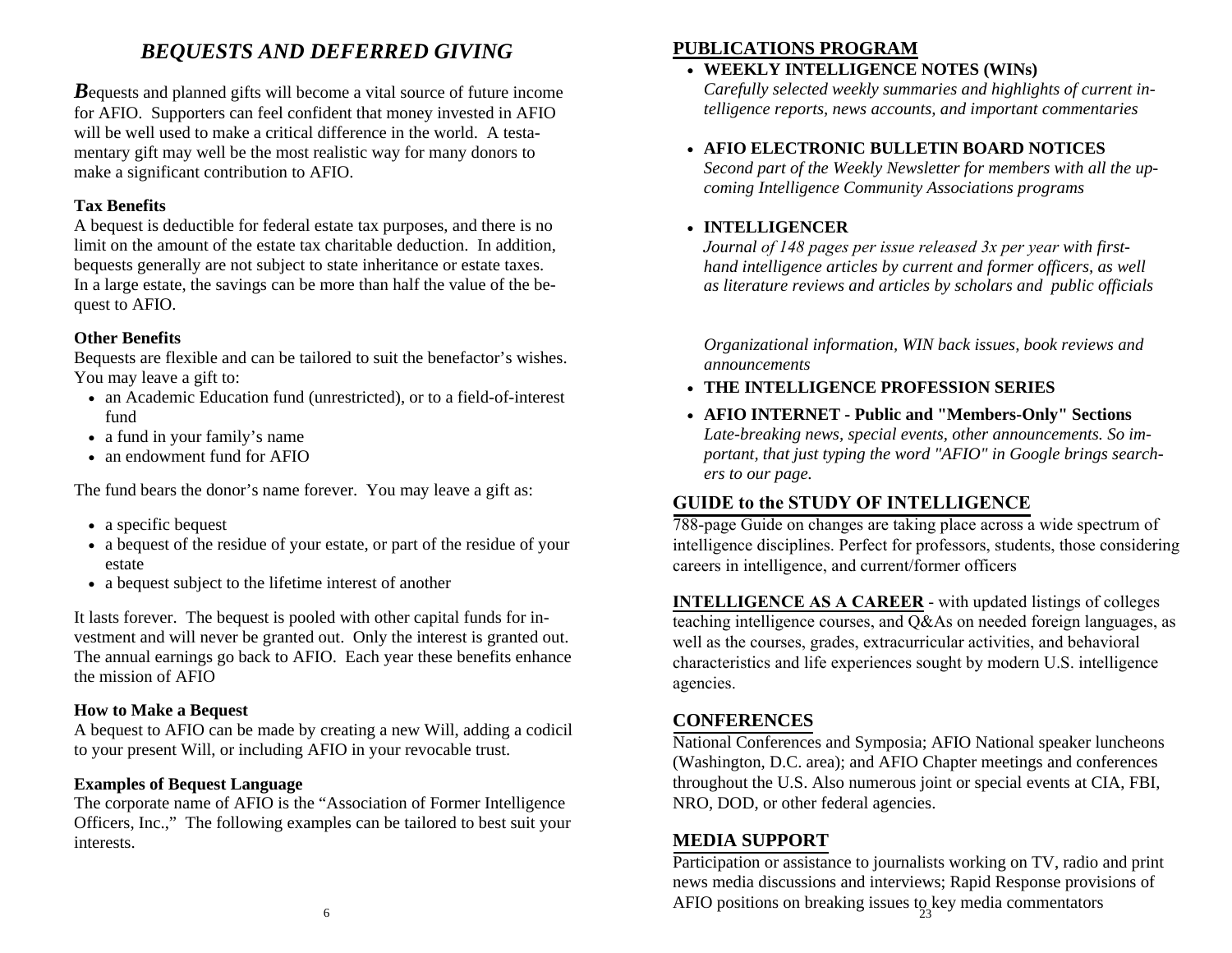# *BEQUESTS AND DEFERRED GIVING*

*B*equests and planned gifts will become a vital source of future income for AFIO. Supporters can feel confident that money invested in AFIO will be well used to make a critical difference in the world. A testamentary gift may well be the most realistic way for many donors to make a significant contribution to AFIO.

#### **Tax Benefits**

A bequest is deductible for federal estate tax purposes, and there is no limit on the amount of the estate tax charitable deduction. In addition, bequests generally are not subject to state inheritance or estate taxes. In a large estate, the savings can be more than half the value of the bequest to AFIO.

### **Other Benefits**

Bequests are flexible and can be tailored to suit the benefactor's wishes. You may leave a gift to:

- an Academic Education fund (unrestricted), or to a field-of-interest fund
- a fund in your family's name
- an endowment fund for AFIO

The fund bears the donor's name forever. You may leave a gift as:

- a specific bequest
- a bequest of the residue of your estate, or part of the residue of your estate
- a bequest subject to the lifetime interest of another

It lasts forever. The bequest is pooled with other capital funds for investment and will never be granted out. Only the interest is granted out. The annual earnings go back to AFIO. Each year these benefits enhance the mission of AFIO

### **How to Make a Bequest**

A bequest to AFIO can be made by creating a new Will, adding a codicil to your present Will, or including AFIO in your revocable trust.

### **Examples of Bequest Language**

The corporate name of AFIO is the "Association of Former Intelligence Officers, Inc.," The following examples can be tailored to best suit your interests.

### **PUBLICATIONS PROGRAM**

### • **WEEKLY INTELLIGENCE NOTES (WINs)**

*Carefully selected weekly summaries and highlights of current intelligence reports, news accounts, and important commentaries*

### • **AFIO ELECTRONIC BULLETIN BOARD NOTICES**

 *Second part of the Weekly Newsletter for members with all the upcoming Intelligence Community Associations programs*

### • **INTELLIGENCER**

 *Journal of 148 pages per issue released 3x per year with firsthand intelligence articles by current and former officers, as well as literature reviews and articles by scholars and public officials*

*Organizational information, WIN back issues, book reviews and announcements* 

- **THE INTELLIGENCE PROFESSION SERIES**
- **AFIO INTERNET Public and "Members-Only" Sections** *Late-breaking news, special events, other announcements. So important, that just typing the word "AFIO" in Google brings searchers to our page.*

### **GUIDE to the STUDY OF INTELLIGENCE**

 788-page Guide on changes are taking place across a wide spectrum of intelligence disciplines. Perfect for professors, students, those consideringcareers in intelligence, and current/former officers

**INTELLIGENCE AS A CAREER** - with updated listings of colleges teaching intelligence courses, and  $Q\&$  As on needed foreign languages, as well as the courses, grades, extracurricular activities, and behavioral characteristics and life experiences sought by modern U.S. intelligence agencies.

### **CONFERENCES**

 National Conferences and Symposia; AFIO National speaker luncheons (Washington, D.C. area); and AFIO Chapter meetings and conferences throughout the U.S. Also numerous joint or special events at CIA, FBI, NRO, DOD, or other federal agencies.

### **MEDIA SUPPORT**

 Participation or assistance to journalists working on TV, radio and print news media discussions and interviews; Rapid Response provisions of AFIO positions on breaking issues to key media commentators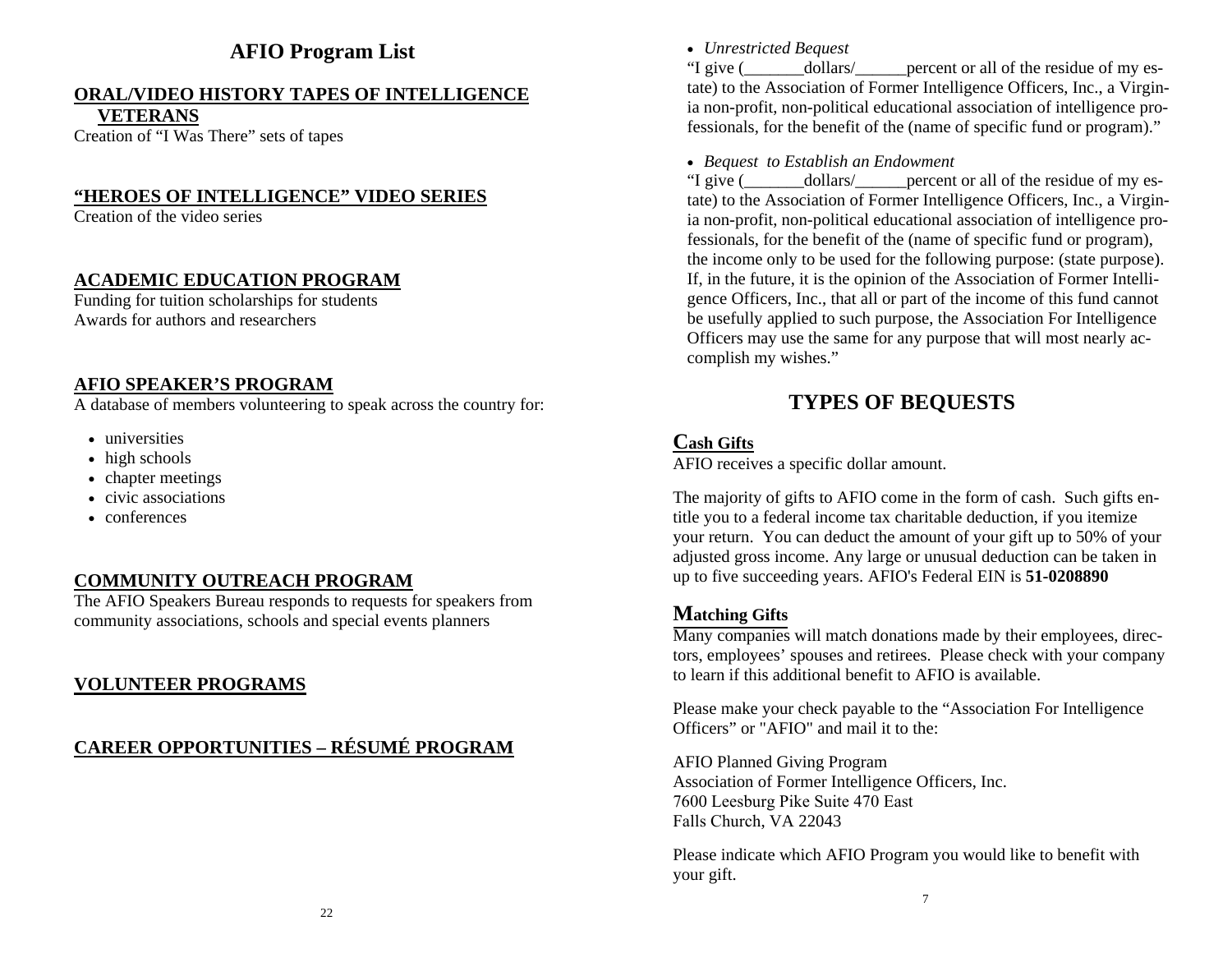# **AFIO Program List**

# **ORAL/VIDEO HISTORY TAPES OF INTELLIGENCE**

**VETERANS**

Creation of "I Was There" sets of tapes

### **"HEROES OF INTELLIGENCE" VIDEO SERIES**

Creation of the video series

### **ACADEMIC EDUCATION PROGRAM**

Funding for tuition scholarships for students Awards for authors and researchers

### **AFIO SPEAKER'S PROGRAM**

A database of members volunteering to speak across the country for:

- universities
- high schools
- chapter meetings
- civic associations
- conferences

### **COMMUNITY OUTREACH PROGRAM**

The AFIO Speakers Bureau responds to requests for speakers from community associations, schools and special events planners

### **VOLUNTEER PROGRAMS**

# **CAREER OPPORTUNITIES – RÉSUMÉ PROGRAM**

*Unrestricted Bequest*

"I give ( dollars/ percent or all of the residue of my estate) to the Association of Former Intelligence Officers, Inc., a Virginia non-profit, non-political educational association of intelligence professionals, for the benefit of the (name of specific fund or program)."

#### *Bequest to Establish an Endowment*

"I give ( $\qquad \qquad$  dollars/ percent or all of the residue of my estate) to the Association of Former Intelligence Officers, Inc., a Virginia non-profit, non-political educational association of intelligence professionals, for the benefit of the (name of specific fund or program), the income only to be used for the following purpose: (state purpose). If, in the future, it is the opinion of the Association of Former Intelligence Officers, Inc., that all or part of the income of this fund cannot be usefully applied to such purpose, the Association For Intelligence Officers may use the same for any purpose that will most nearly accomplish my wishes."

# **TYPES OF BEQUESTS**

### **Cash Gifts**

AFIO receives a specific dollar amount.

The majority of gifts to AFIO come in the form of cash. Such gifts en-<br>title you to a foderal income toy aboritable deduction, if you itemize title you to a federal income tax charitable deduction, if you itemize your return. You can deduct the amount of your gift up to 50% of your<br>edivered gross income. Any large or unusual deduction can be taken in adjusted gross income. Any large or unusual deduction can be taken in up to five succeeding years. AFIO's Federal EIN is **51-0208890**

### **Matching Gifts**

 Many companies will match donations made by their employees, directors, employees' spouses and retirees. Please check with your company to learn if this additional benefit to AFIO is available.

Please make your check payable to the "Association For Intelligence Officers" or "AFIO" and mail it to the:

AFIO Planned Giving Program Association of Former Intelligence Officers, Inc. 7600 Leesburg Pike Suite 470 EastFalls Church, VA <sup>22043</sup>

Please indicate which AFIO Program you would like to benefit with<br>veam aift your gift.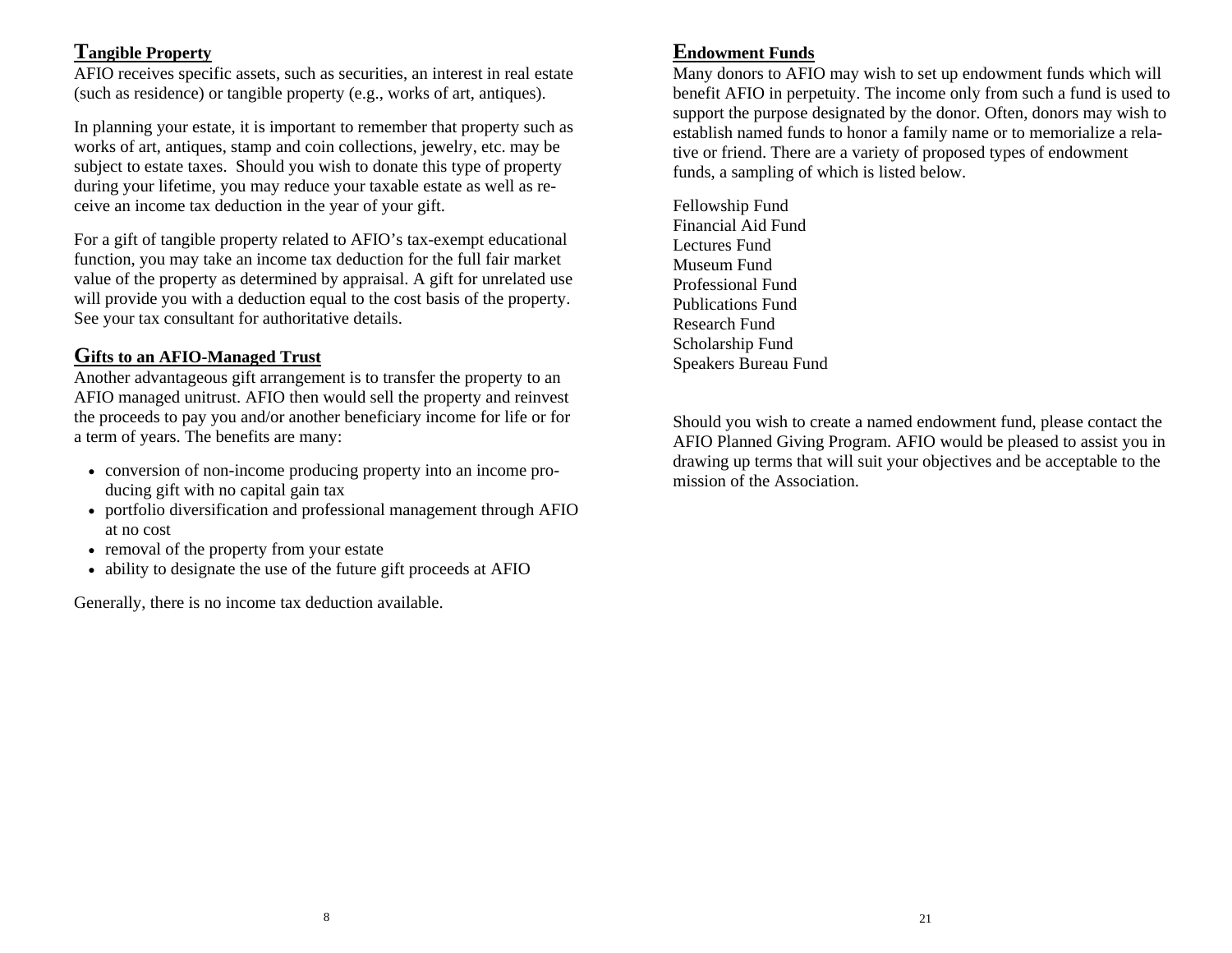### **Tangible Property**

AFIO receives specific assets, such as securities, an interest in real estate (such as residence) or tangible property (e.g., works of art, antiques).

In planning your estate, it is important to remember that property such as works of art, antiques, stamp and coin collections, jewelry, etc. may be subject to estate taxes. Should you wish to donate this type of property during your lifetime, you may reduce your taxable estate as well as receive an income tax deduction in the year of your gift.

For a gift of tangible property related to AFIO's tax-exempt educational function, you may take an income tax deduction for the full fair market value of the property as determined by appraisal. A gift for unrelated use will provide you with a deduction equal to the cost basis of the property. See your tax consultant for authoritative details.

### **Gifts to an AFIO-Managed Trust**

Another advantageous gift arrangement is to transfer the property to an AFIO managed unitrust. AFIO then would sell the property and reinvest the proceeds to pay you and/or another beneficiary income for life or for a term of years. The benefits are many:

- conversion of non-income producing property into an income producing gift with no capital gain tax
- portfolio diversification and professional management through AFIO at no cost
- removal of the property from your estate
- ability to designate the use of the future gift proceeds at AFIO

Generally, there is no income tax deduction available.

## **Endowment Funds**

Many donors to AFIO may wish to set up endowment funds which will benefit AFIO in perpetuity. The income only from such a fund is used to support the purpose designated by the donor. Often, donors may wish to establish named funds to honor a family name or to memorialize a relative or friend. There are a variety of proposed types of endowment funds, a sampling of which is listed below.

Fellowship Fund Financial Aid FundLectures Fund Museum Fund Professional Fund Publications Fund Research Fund Scholarship Fund Speakers Bureau Fund

Should you wish to create a named endowment fund, please contact the AFIO Planned Giving Program. AFIO would be pleased to assist you in drawing up terms that will suit your objectives and be acceptable to the mission of the Association.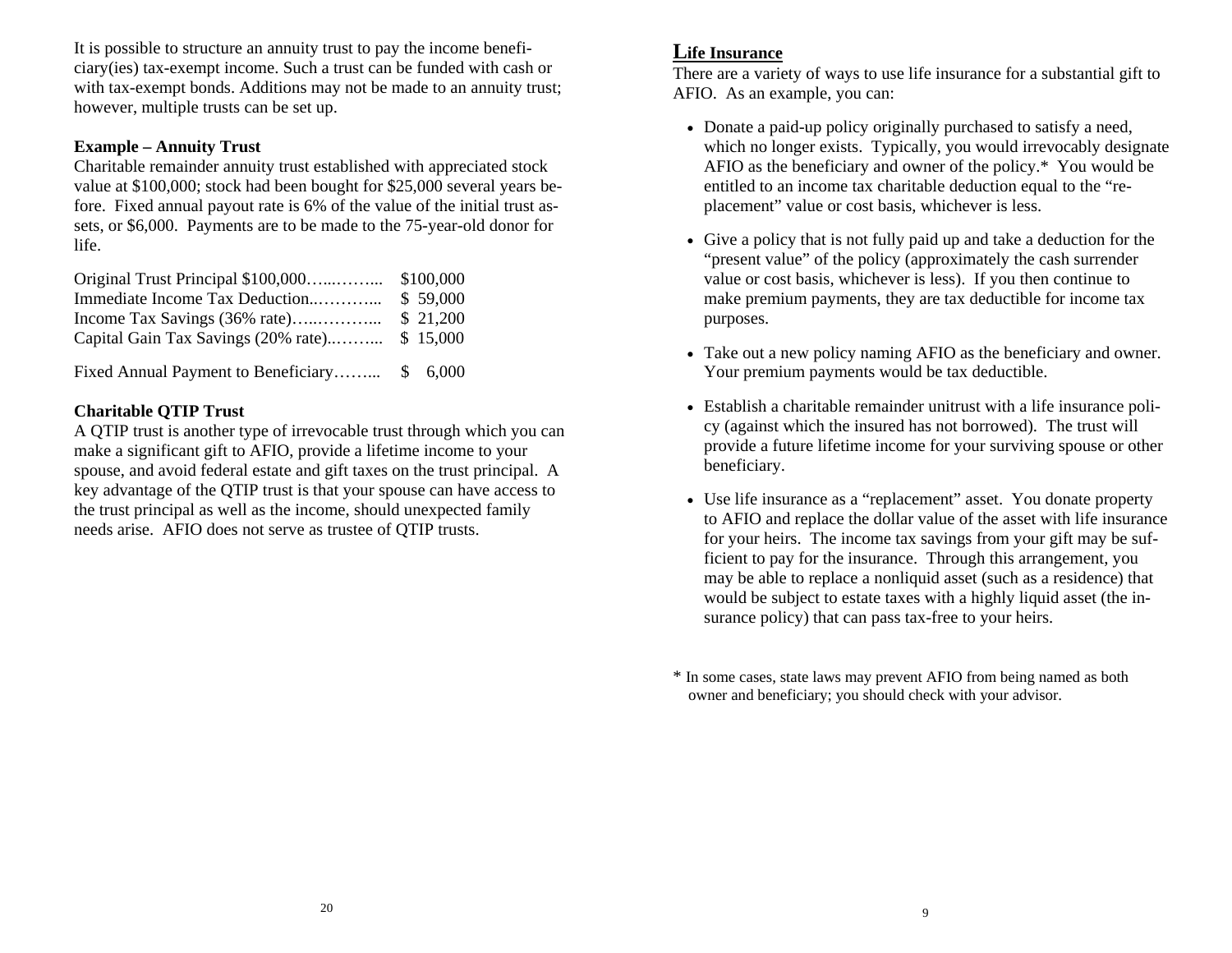It is possible to structure an annuity trust to pay the income beneficiary(ies) tax-exempt income. Such a trust can be funded with cash or with tax-exempt bonds. Additions may not be made to an annuity trust; however, multiple trusts can be set up.

#### **Example – Annuity Trust**

Charitable remainder annuity trust established with appreciated stock value at \$100,000; stock had been bought for \$25,000 several years before. Fixed annual payout rate is 6% of the value of the initial trust assets, or \$6,000. Payments are to be made to the 75-year-old donor for life.

| Immediate Income Tax Deduction                           | \$ 59,000 |
|----------------------------------------------------------|-----------|
|                                                          |           |
| Capital Gain Tax Savings $(20\% \text{ rate})$ \$ 15,000 |           |
|                                                          |           |

Fixed Annual Payment to Beneficiary……... \$ 6,000

### **Charitable QTIP Trust**

A QTIP trust is another type of irrevocable trust through which you can make a significant gift to AFIO, provide a lifetime income to your spouse, and avoid federal estate and gift taxes on the trust principal. A key advantage of the QTIP trust is that your spouse can have access to the trust principal as well as the income, should unexpected family needs arise. AFIO does not serve as trustee of QTIP trusts.

### **Life Insurance**

There are a variety of ways to use life insurance for a substantial gift to AFIO. As an example, you can:

- Donate a paid-up policy originally purchased to satisfy a need, which no longer exists. Typically, you would irrevocably designate AFIO as the beneficiary and owner of the policy.\* You would be entitled to an income tax charitable deduction equal to the "replacement" value or cost basis, whichever is less.
- Give a policy that is not fully paid up and take a deduction for the "present value" of the policy (approximately the cash surrender value or cost basis, whichever is less). If you then continue to make premium payments, they are tax deductible for income tax purposes.
- Take out a new policy naming AFIO as the beneficiary and owner. Your premium payments would be tax deductible.
- Establish a charitable remainder unitrust with a life insurance policy (against which the insured has not borrowed). The trust will provide a future lifetime income for your surviving spouse or other beneficiary.
- Use life insurance as a "replacement" asset. You donate property to AFIO and replace the dollar value of the asset with life insurance for your heirs. The income tax savings from your gift may be sufficient to pay for the insurance. Through this arrangement, you may be able to replace a nonliquid asset (such as a residence) that would be subject to estate taxes with a highly liquid asset (the insurance policy) that can pass tax-free to your heirs.

\* In some cases, state laws may prevent AFIO from being named as both owner and beneficiary; you should check with your advisor.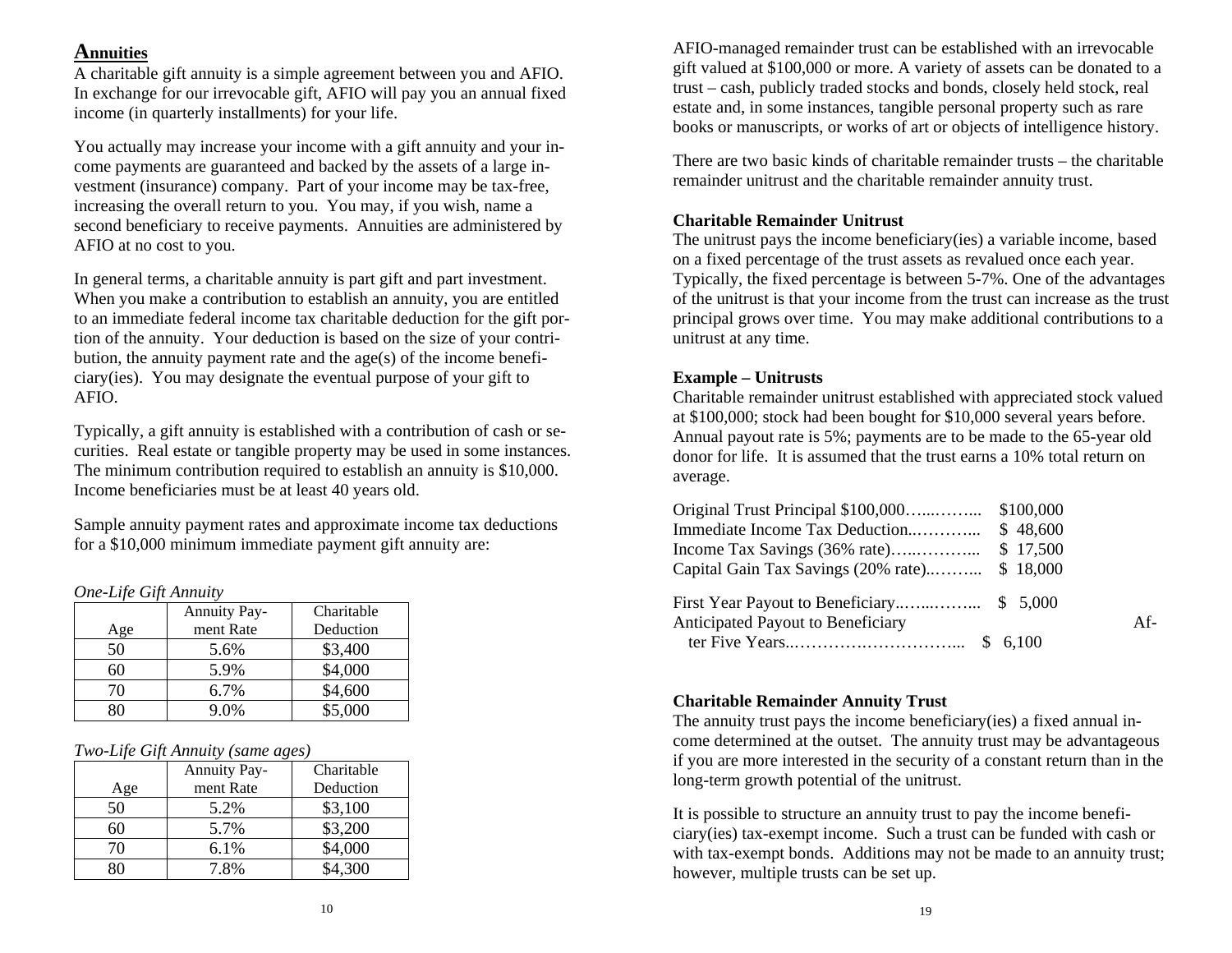### **Annuities**

A charitable gift annuity is a simple agreement between you and AFIO. In exchange for our irrevocable gift, AFIO will pay you an annual fixed income (in quarterly installments) for your life.

You actually may increase your income with a gift annuity and your income payments are guaranteed and backed by the assets of a large investment (insurance) company. Part of your income may be tax-free, increasing the overall return to you. You may, if you wish, name a second beneficiary to receive payments. Annuities are administered by AFIO at no cost to you.

In general terms, a charitable annuity is part gift and part investment. When you make a contribution to establish an annuity, you are entitled to an immediate federal income tax charitable deduction for the gift portion of the annuity. Your deduction is based on the size of your contribution, the annuity payment rate and the age(s) of the income beneficiary(ies). You may designate the eventual purpose of your gift to AFIO.

Typically, a gift annuity is established with a contribution of cash or securities. Real estate or tangible property may be used in some instances. The minimum contribution required to establish an annuity is \$10,000. Income beneficiaries must be at least 40 years old.

Sample annuity payment rates and approximate income tax deductions for a \$10,000 minimum immediate payment gift annuity are:

#### *One-Life Gift Annuity*

|     | <b>Annuity Pay-</b> | Charitable |
|-----|---------------------|------------|
| Age | ment Rate           | Deduction  |
| 50  | 5.6%                | \$3,400    |
| 60  | 5.9%                | \$4,000    |
| 70  | $6.7\%$             | \$4,600    |
|     | 9.0%                | \$5,000    |

#### *Two-Life Gift Annuity (same ages)*

|     | <b>Annuity Pay-</b> | Charitable |
|-----|---------------------|------------|
| Age | ment Rate           | Deduction  |
| 50  | 5.2%                | \$3,100    |
|     | 5.7%                | \$3,200    |
| 70  | 6.1%                | \$4,000    |
|     | 7.8%                | \$4.300    |

AFIO-managed remainder trust can be established with an irrevocable gift valued at \$100,000 or more. A variety of assets can be donated to a trust – cash, publicly traded stocks and bonds, closely held stock, real estate and, in some instances, tangible personal property such as rare books or manuscripts, or works of art or objects of intelligence history.

There are two basic kinds of charitable remainder trusts – the charitable remainder unitrust and the charitable remainder annuity trust.

#### **Charitable Remainder Unitrust**

The unitrust pays the income beneficiary(ies) a variable income, based on a fixed percentage of the trust assets as revalued once each year. Typically, the fixed percentage is between 5-7%. One of the advantages of the unitrust is that your income from the trust can increase as the trust principal grows over time. You may make additional contributions to a unitrust at any time.

#### **Example – Unitrusts**

Charitable remainder unitrust established with appreciated stock valued at \$100,000; stock had been bought for \$10,000 several years before. Annual payout rate is 5%; payments are to be made to the 65-year old donor for life. It is assumed that the trust earns a 10% total return on average.

|                                   | \$48,600 |       |
|-----------------------------------|----------|-------|
|                                   | \$17,500 |       |
|                                   |          |       |
|                                   |          |       |
| Anticipated Payout to Beneficiary |          | $Af-$ |
|                                   |          |       |

#### **Charitable Remainder Annuity Trust**

The annuity trust pays the income beneficiary(ies) a fixed annual income determined at the outset. The annuity trust may be advantageous if you are more interested in the security of a constant return than in the long-term growth potential of the unitrust.

It is possible to structure an annuity trust to pay the income beneficiary(ies) tax-exempt income. Such a trust can be funded with cash or with tax-exempt bonds. Additions may not be made to an annuity trust; however, multiple trusts can be set up.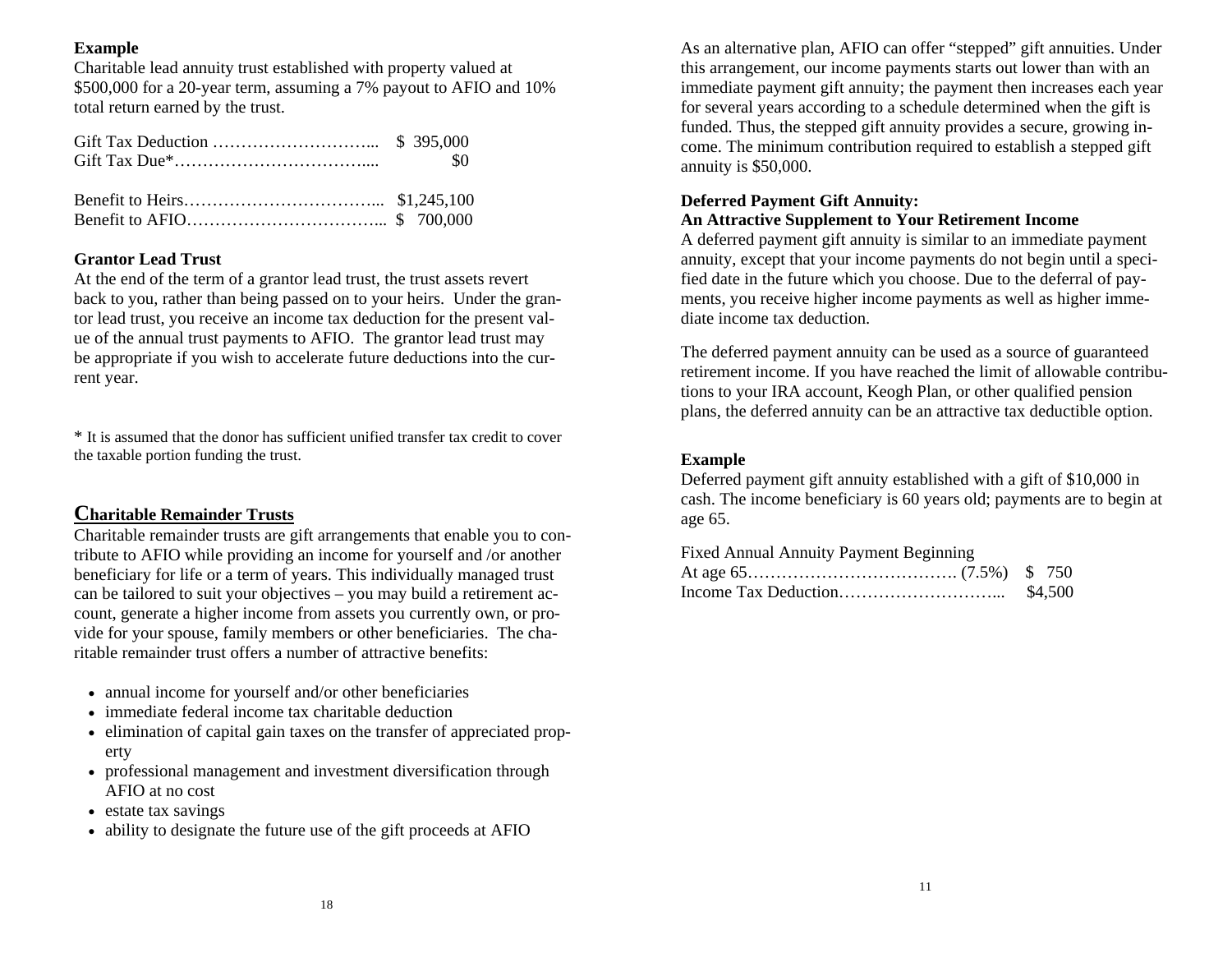#### **Example**

Charitable lead annuity trust established with property valued at \$500,000 for a 20-year term, assuming a 7% payout to AFIO and 10% total return earned by the trust.

#### **Grantor Lead Trust**

At the end of the term of a grantor lead trust, the trust assets revert back to you, rather than being passed on to your heirs. Under the grantor lead trust, you receive an income tax deduction for the present value of the annual trust payments to AFIO. The grantor lead trust may be appropriate if you wish to accelerate future deductions into the current year.

\* It is assumed that the donor has sufficient unified transfer tax credit to cover the taxable portion funding the trust.

### **Charitable Remainder Trusts**

Charitable remainder trusts are gift arrangements that enable you to contribute to AFIO while providing an income for yourself and /or another beneficiary for life or a term of years. This individually managed trust can be tailored to suit your objectives – you may build a retirement account, generate a higher income from assets you currently own, or provide for your spouse, family members or other beneficiaries. The charitable remainder trust offers a number of attractive benefits:

- annual income for yourself and/or other beneficiaries
- immediate federal income tax charitable deduction
- elimination of capital gain taxes on the transfer of appreciated property
- professional management and investment diversification through AFIO at no cost
- estate tax savings
- ability to designate the future use of the gift proceeds at AFIO

As an alternative plan, AFIO can offer "stepped" gift annuities. Under this arrangement, our income payments starts out lower than with an immediate payment gift annuity; the payment then increases each year for several years according to a schedule determined when the gift is funded. Thus, the stepped gift annuity provides a secure, growing income. The minimum contribution required to establish a stepped gift annuity is \$50,000.

#### **Deferred Payment Gift Annuity:**

### **An Attractive Supplement to Your Retirement Income**

A deferred payment gift annuity is similar to an immediate payment annuity, except that your income payments do not begin until a specified date in the future which you choose. Due to the deferral of payments, you receive higher income payments as well as higher immediate income tax deduction.

The deferred payment annuity can be used as a source of guaranteed retirement income. If you have reached the limit of allowable contributions to your IRA account, Keogh Plan, or other qualified pension plans, the deferred annuity can be an attractive tax deductible option.

#### **Example**

Deferred payment gift annuity established with a gift of \$10,000 in cash. The income beneficiary is 60 years old; payments are to begin at age 65.

Fixed Annual Annuity Payment Beginning

|  | \$4,500 |
|--|---------|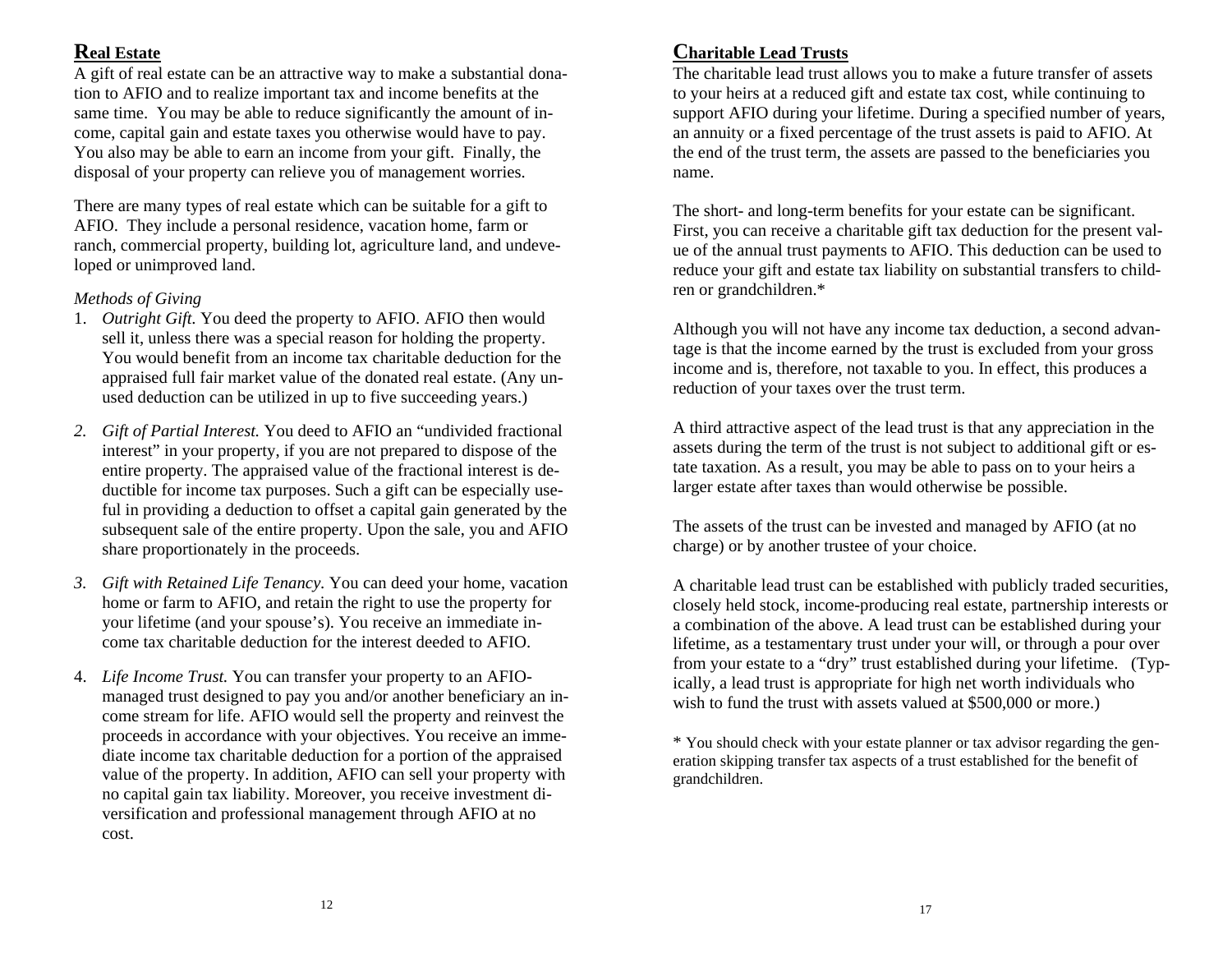### **Real Estate**

A gift of real estate can be an attractive way to make a substantial donation to AFIO and to realize important tax and income benefits at the same time. You may be able to reduce significantly the amount of income, capital gain and estate taxes you otherwise would have to pay. You also may be able to earn an income from your gift. Finally, the disposal of your property can relieve you of management worries.

There are many types of real estate which can be suitable for a gift to AFIO. They include a personal residence, vacation home, farm or ranch, commercial property, building lot, agriculture land, and undeveloped or unimproved land.

### *Methods of Giving*

- 1. *Outright Gift.* You deed the property to AFIO. AFIO then would sell it, unless there was a special reason for holding the property. You would benefit from an income tax charitable deduction for theappraised full fair market value of the donated real estate. (Any unused deduction can be utilized in up to five succeeding years.)
- *2. Gift of Partial Interest.* You deed to AFIO an "undivided fractional interest" in your property, if you are not prepared to dispose of the entire property. The appraised value of the fractional interest is deductible for income tax purposes. Such a gift can be especially useful in providing a deduction to offset a capital gain generated by the subsequent sale of the entire property. Upon the sale, you and AFIO share proportionately in the proceeds.
- *3. Gift with Retained Life Tenancy.* You can deed your home, vacation home or farm to AFIO, and retain the right to use the property for your lifetime (and your spouse's). You receive an immediate income tax charitable deduction for the interest deeded to AFIO.
- 4. *Life Income Trust.* You can transfer your property to an AFIOmanaged trust designed to pay you and/or another beneficiary an income stream for life. AFIO would sell the property and reinvest the proceeds in accordance with your objectives. You receive an immediate income tax charitable deduction for a portion of the appraised value of the property. In addition, AFIO can sell your property with no capital gain tax liability. Moreover, you receive investment diversification and professional management through AFIO at no cost.

## **Charitable Lead Trusts**

The charitable lead trust allows you to make a future transfer of assets to your heirs at a reduced gift and estate tax cost, while continuing to support AFIO during your lifetime. During a specified number of years, an annuity or a fixed percentage of the trust assets is paid to AFIO. At the end of the trust term, the assets are passed to the beneficiaries you name.

The short- and long-term benefits for your estate can be significant. First, you can receive a charitable gift tax deduction for the present value of the annual trust payments to AFIO. This deduction can be used to reduce your gift and estate tax liability on substantial transfers to children or grandchildren.\*

Although you will not have any income tax deduction, a second advantage is that the income earned by the trust is excluded from your gross income and is, therefore, not taxable to you. In effect, this produces a reduction of your taxes over the trust term.

A third attractive aspect of the lead trust is that any appreciation in the assets during the term of the trust is not subject to additional gift or estate taxation. As a result, you may be able to pass on to your heirs a larger estate after taxes than would otherwise be possible.

The assets of the trust can be invested and managed by AFIO (at no charge) or by another trustee of your choice.

A charitable lead trust can be established with publicly traded securities, closely held stock, income-producing real estate, partnership interests or a combination of the above. A lead trust can be established during your lifetime, as a testamentary trust under your will, or through a pour over from your estate to a "dry" trust established during your lifetime. (Typically, a lead trust is appropriate for high net worth individuals who wish to fund the trust with assets valued at \$500,000 or more.)

\* You should check with your estate planner or tax advisor regarding the generation skipping transfer tax aspects of a trust established for the benefit of grandchildren.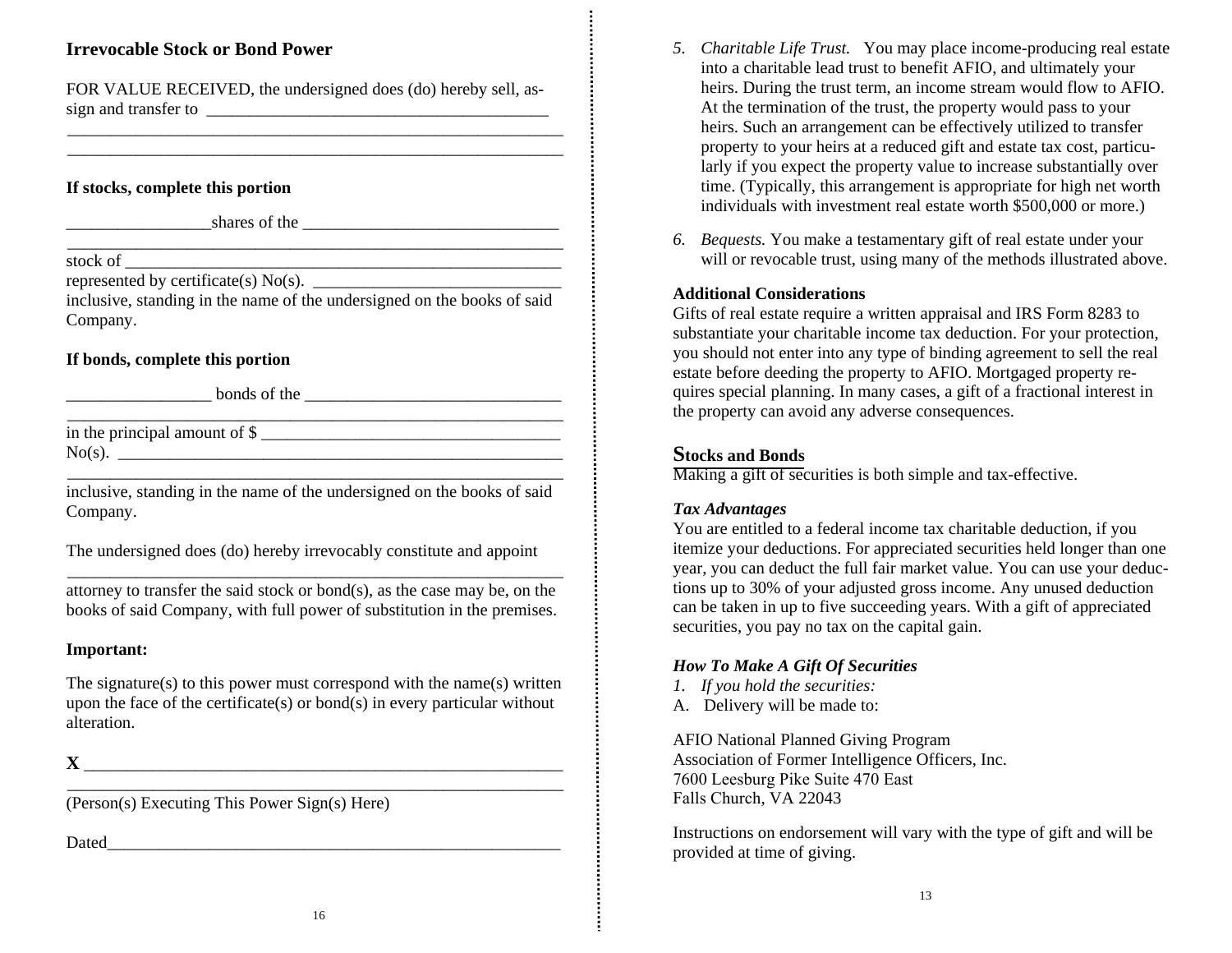### **Irrevocable Stock or Bond Power**

FOR VALUE RECEIVED, the undersigned does (do) hereby sell, assign and transfer to

\_\_\_\_\_\_\_\_\_\_\_\_\_\_\_\_\_\_\_\_\_\_\_\_\_\_\_\_\_\_\_\_\_\_\_\_\_\_\_\_\_\_\_\_\_\_\_\_\_\_\_\_\_\_\_\_\_\_ \_\_\_\_\_\_\_\_\_\_\_\_\_\_\_\_\_\_\_\_\_\_\_\_\_\_\_\_\_\_\_\_\_\_\_\_\_\_\_\_\_\_\_\_\_\_\_\_\_\_\_\_\_\_\_\_\_\_

#### **If stocks, complete this portion**

 $\frac{\text{shares of the} \quad \text{S} \quad \text{S} \quad \text{S} \quad \text{S} \quad \text{S} \quad \text{S} \quad \text{S} \quad \text{S} \quad \text{S} \quad \text{S} \quad \text{S} \quad \text{S} \quad \text{S} \quad \text{S} \quad \text{S} \quad \text{S} \quad \text{S} \quad \text{S} \quad \text{S} \quad \text{S} \quad \text{S} \quad \text{S} \quad \text{S} \quad \text{S} \quad \text{S} \quad \text{S} \quad \text{S} \quad \text{S} \quad \text{S} \quad \text{S}$ 

stock of \_\_\_\_\_\_\_\_\_\_\_\_\_\_\_\_\_\_\_\_\_\_\_\_\_\_\_\_\_\_\_\_\_\_\_\_\_\_\_\_\_\_\_\_\_\_\_\_\_\_\_

represented by certificate(s)  $No(s)$ .

inclusive, standing in the name of the undersigned on the books of said Company.

\_\_\_\_\_\_\_\_\_\_\_\_\_\_\_\_\_\_\_\_\_\_\_\_\_\_\_\_\_\_\_\_\_\_\_\_\_\_\_\_\_\_\_\_\_\_\_\_\_\_\_\_\_\_\_\_\_\_

#### **If bonds, complete this portion**

 $\frac{1}{2}$  bonds of the  $\frac{1}{2}$  bonds of the  $\frac{1}{2}$ 

in the principal amount of  $\frac{1}{2}$ No(s). \_\_\_\_\_\_\_\_\_\_\_\_\_\_\_\_\_\_\_\_\_\_\_\_\_\_\_\_\_\_\_\_\_\_\_\_\_\_\_\_\_\_\_\_\_\_\_\_\_\_\_\_

 $\overline{\phantom{a}}$  , and the contract of the contract of the contract of the contract of the contract of the contract of the contract of the contract of the contract of the contract of the contract of the contract of the contrac

inclusive, standing in the name of the undersigned on the books of said Company.

The undersigned does (do) hereby irrevocably constitute and appoint

\_\_\_\_\_\_\_\_\_\_\_\_\_\_\_\_\_\_\_\_\_\_\_\_\_\_\_\_\_\_\_\_\_\_\_\_\_\_\_\_\_\_\_\_\_\_\_\_\_\_\_\_\_\_\_\_\_\_ attorney to transfer the said stock or bond(s), as the case may be, on the books of said Company, with full power of substitution in the premises.

#### **Important:**

The signature(s) to this power must correspond with t he name(s) written upon the face of the certificate(s) or bond(s) in every particular without alteration.

\_\_\_\_\_\_\_\_\_\_\_\_\_\_\_\_\_\_\_\_\_\_\_\_\_\_\_\_\_\_\_\_\_\_\_\_\_\_\_\_\_\_\_\_\_\_\_\_\_\_\_\_\_\_\_\_\_\_

#### **X** \_\_\_\_\_\_\_\_\_\_\_\_\_\_\_\_\_\_\_\_\_\_\_\_\_\_\_\_\_\_\_\_\_\_\_\_\_\_\_\_\_\_\_\_\_\_\_\_\_\_\_\_\_\_\_\_

(Person(s) Executing This Power Sign(s) Here)

Dated

- *5. Charitable Life Trust.* You may place income-producing real estate into a charitable lead trust to benefit AFIO, and ultimately your heirs. During the trust term, an income stream would flow to AFIO. At the termination of the trust, the property would pass to your heirs. Such an arrangement can be effectively utilized to transfer property to your heirs at a reduced gift and estate tax cost, particularly if you expect the property value to increase substantially over time. (Typically, this arrangement is appropriate for high net worth individuals with investment real estate worth \$500,000 or more.)
- *6. Bequests.* You make a testamentary gift of real estate under your will or revocable trust, using many of the methods illustrated above.

#### **Additional Considerations**

Gifts of real estate require a written appraisal and IRS Form 8283 to substantiate your photositely income to deduction. For your protection substantiate your charitable income tax deduction. For your protection, you should not enter into any type of binding agreement to sell the real estate before deeding the property to AFIO. Mortgaged property requires special planning. In many cases, a <sup>g</sup>ift of a fractional interest in the property can avoid any adverse consequences.

# **Stocks and Bonds**

Making a gift of securities is both simple and tax-effective.

#### *Tax Advantages*

 You are entitled to a federal income tax charitable deduction, if you itemize your deductions. For appreciated securities held longer than one year, you can deduct the full fair market value. You can use your deductions up to 30% of your adjusted gross income. Any unused deduction<br>can be taken in up to five avasoading years. With a gift of approxiated can be taken in up to five succeeding years. With a gift of appreciated securities, you pay no tax on the capital gain.

#### *How To Make A Gift Of Securities*

- *1. If you hold the securities:*
- A. Delivery will be made to:

AFIO National Planned Giving Program Association of Former Intelligence Officers, Inc. 7600 Leesburg Pike Suite 470 EastFalls Church, VA <sup>22043</sup>

Instructions on endorsement will vary with the type of <sup>g</sup>ift and will be provided at time of giving.